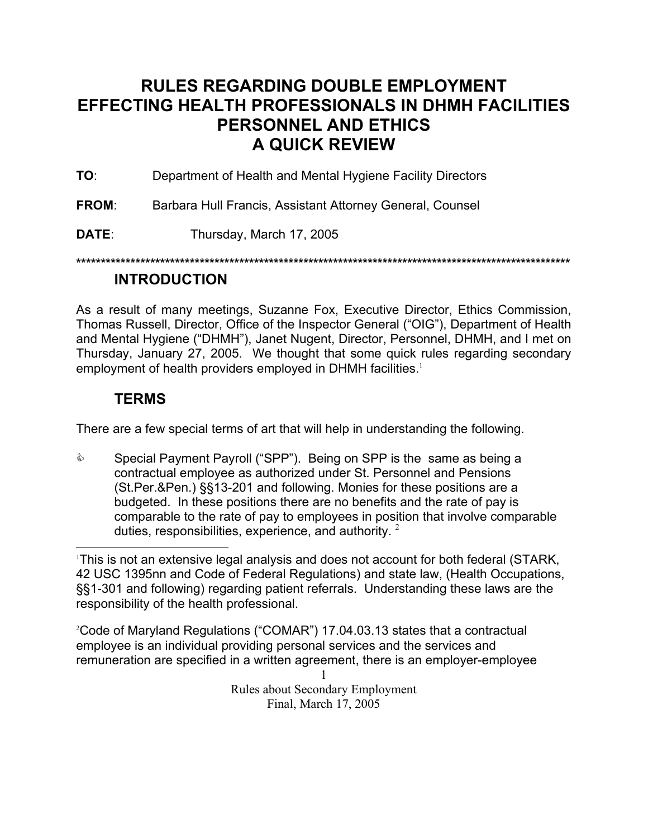# <span id="page-0-1"></span>**RULES REGARDING DOUBLE EMPLOYMENT EFFECTING HEALTH PROFESSIONALS IN DHMH FACILITIES PERSONNEL AND ETHICS A QUICK REVIEW**

**TO**: Department of Health and Mental Hygiene Facility Directors

**FROM**: Barbara Hull Francis, Assistant Attorney General, Counsel

**DATE**: Thursday, March 17, 2005

**\*\*\*\*\*\*\*\*\*\*\*\*\*\*\*\*\*\*\*\*\*\*\*\*\*\*\*\*\*\*\*\*\*\*\*\*\*\*\*\*\*\*\*\*\*\*\*\*\*\*\*\*\*\*\*\*\*\*\*\*\*\*\*\*\*\*\*\*\*\*\*\*\*\*\*\*\*\*\*\*\*\*\*\*\*\*\*\*\*\*\*\*\*\*\*\*\*\*\*\***

## **INTRODUCTION**

As a result of many meetings, Suzanne Fox, Executive Director, Ethics Commission, Thomas Russell, Director, Office of the Inspector General ("OIG"), Department of Health and Mental Hygiene ("DHMH"), Janet Nugent, Director, Personnel, DHMH, and I met on Thursday, January 27, 2005. We thought that some quick rules regarding secondary employment of health providers employed in DHMH facilities.<sup>[1](#page-0-0)</sup>

## **TERMS**

There are a few special terms of art that will help in understanding the following.

**Special Payment Payroll ("SPP"). Being on SPP is the same as being a** contractual employee as authorized under St. Personnel and Pensions (St.Per.&Pen.) §§13-201 and following. Monies for these positions are a budgeted. In these positions there are no benefits and the rate of pay is comparable to the rate of pay to employees in position that involve comparable duties, responsibilities, experience, and authority.  $2\overline{ }$  $2\overline{ }$ 

2 Code of Maryland Regulations ("COMAR") 17.04.03.13 states that a contractual employee is an individual providing personal services and the services and remuneration are specified in a written agreement, there is an employer-employee

<span id="page-0-0"></span> $\frac{1}{1}$ This is not an extensive legal analysis and does not account for both federal (STARK, 42 USC 1395nn and Code of Federal Regulations) and state law, (Health Occupations, §§1-301 and following) regarding patient referrals. Understanding these laws are the responsibility of the health professional.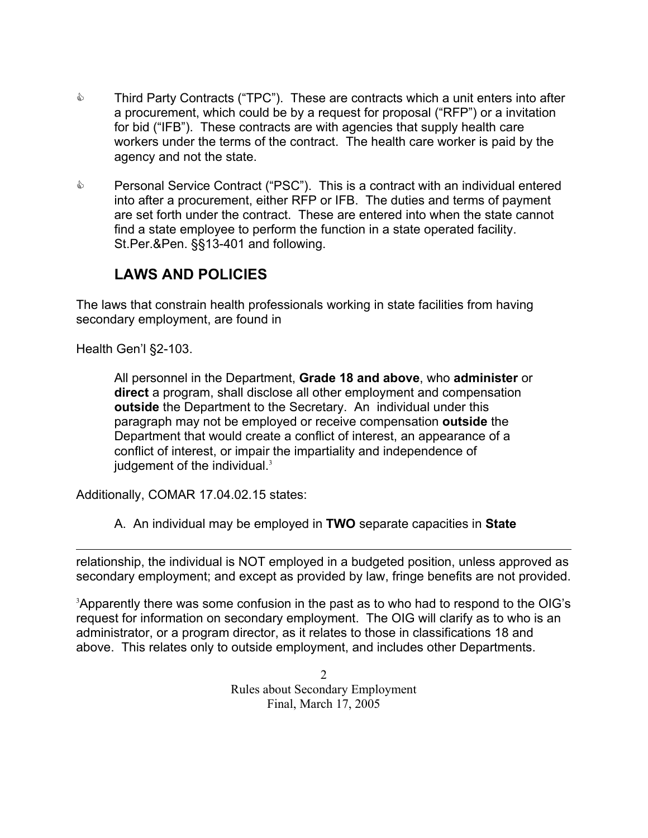- **EXECT** Third Party Contracts ("TPC"). These are contracts which a unit enters into after a procurement, which could be by a request for proposal ("RFP") or a invitation for bid ("IFB"). These contracts are with agencies that supply health care workers under the terms of the contract. The health care worker is paid by the agency and not the state.
- **EXECT** Personal Service Contract ("PSC"). This is a contract with an individual entered into after a procurement, either RFP or IFB. The duties and terms of payment are set forth under the contract. These are entered into when the state cannot find a state employee to perform the function in a state operated facility. St.Per.&Pen. §§13-401 and following.

# **LAWS AND POLICIES**

The laws that constrain health professionals working in state facilities from having secondary employment, are found in

Health Gen'l §2-103.

 $\overline{a}$ 

All personnel in the Department, **Grade 18 and above**, who **administer** or **direct** a program, shall disclose all other employment and compensation **outside** the Department to the Secretary. An individual under this paragraph may not be employed or receive compensation **outside** the Department that would create a conflict of interest, an appearance of a conflict of interest, or impair the impartiality and independence of judgement of the individual.<sup>[3](#page-1-0)</sup>

Additionally, COMAR 17.04.02.15 states:

A. An individual may be employed in **TWO** separate capacities in **State** 

relationship, the individual is NOT employed in a budgeted position, unless approved as secondary employment; and except as provided by law, fringe benefits are not provided.

<span id="page-1-0"></span><sup>3</sup>Apparently there was some confusion in the past as to who had to respond to the OIG's request for information on secondary employment. The OIG will clarify as to who is an administrator, or a program director, as it relates to those in classifications 18 and above. This relates only to outside employment, and includes other Departments.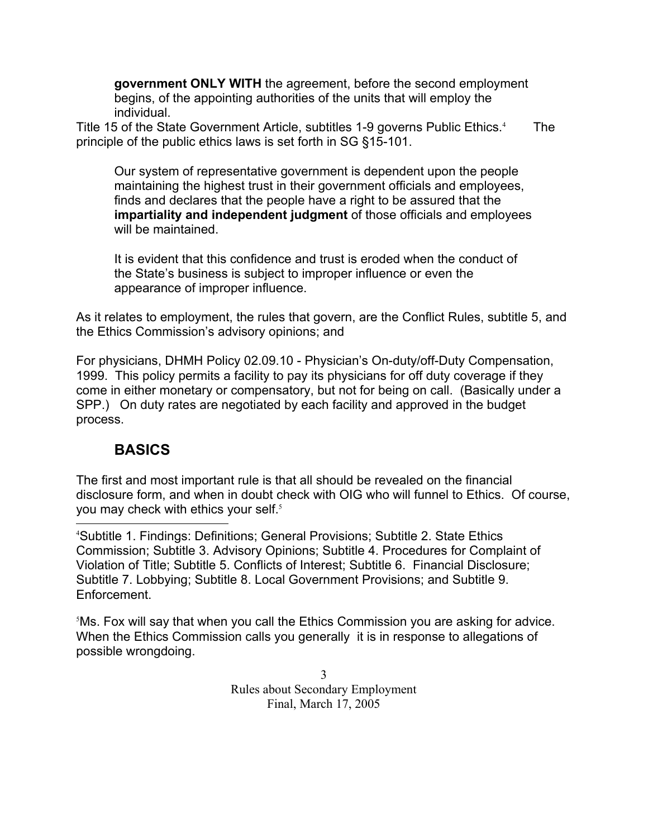**government ONLY WITH** the agreement, before the second employment begins, of the appointing authorities of the units that will employ the individual.

Title 15 of the State Government Article, subtitles 1-9 governs Public Ethics.<sup>[4](#page-2-0)</sup> The principle of the public ethics laws is set forth in SG §15-101.

Our system of representative government is dependent upon the people maintaining the highest trust in their government officials and employees, finds and declares that the people have a right to be assured that the **impartiality and independent judgment** of those officials and employees will be maintained.

It is evident that this confidence and trust is eroded when the conduct of the State's business is subject to improper influence or even the appearance of improper influence.

As it relates to employment, the rules that govern, are the Conflict Rules, subtitle 5, and the Ethics Commission's advisory opinions; and

For physicians, DHMH Policy 02.09.10 - Physician's On-duty/off-Duty Compensation, 1999. This policy permits a facility to pay its physicians for off duty coverage if they come in either monetary or compensatory, but not for being on call. (Basically under a SPP.) On duty rates are negotiated by each facility and approved in the budget process.

# **BASICS**

The first and most important rule is that all should be revealed on the financial disclosure form, and when in doubt check with OIG who will funnel to Ethics. Of course, you may check with ethics your self.<sup>[5](#page-2-1)</sup>

<span id="page-2-0"></span> $\frac{1}{4}$ Subtitle 1. Findings: Definitions; General Provisions; Subtitle 2. State Ethics Commission; Subtitle 3. Advisory Opinions; Subtitle 4. Procedures for Complaint of Violation of Title; Subtitle 5. Conflicts of Interest; Subtitle 6. Financial Disclosure; Subtitle 7. Lobbying; Subtitle 8. Local Government Provisions; and Subtitle 9. Enforcement.

<span id="page-2-1"></span>5 Ms. Fox will say that when you call the Ethics Commission you are asking for advice. When the Ethics Commission calls you generally it is in response to allegations of possible wrongdoing.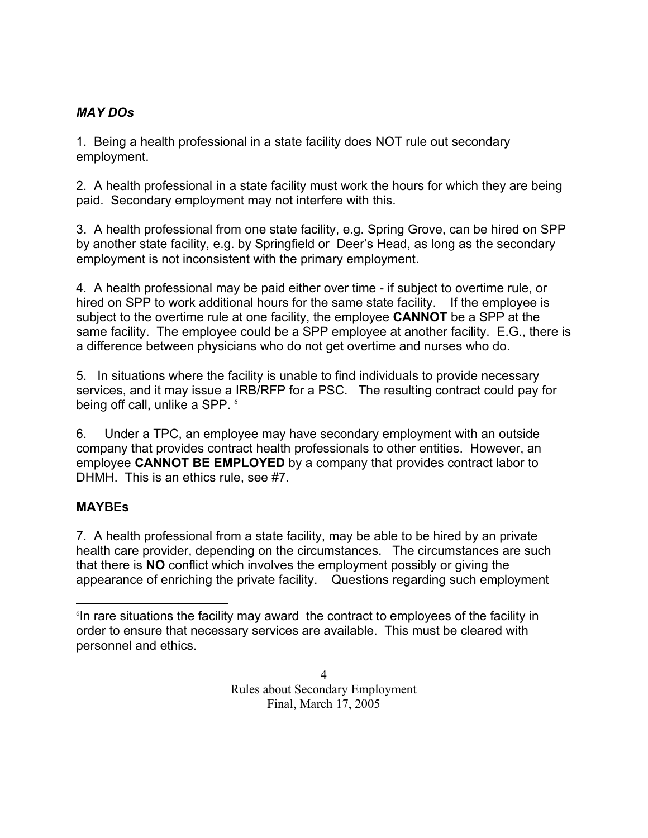## *MAY DOs*

1. Being a health professional in a state facility does NOT rule out secondary employment.

2. A health professional in a state facility must work the hours for which they are being paid. Secondary employment may not interfere with this.

3. A health professional from one state facility, e.g. Spring Grove, can be hired on SPP by another state facility, e.g. by Springfield or Deer's Head, as long as the secondary employment is not inconsistent with the primary employment.

4. A health professional may be paid either over time - if subject to overtime rule, or hired on SPP to work additional hours for the same state facility. If the employee is subject to the overtime rule at one facility, the employee **CANNOT** be a SPP at the same facility. The employee could be a SPP employee at another facility. E.G., there is a difference between physicians who do not get overtime and nurses who do.

5. In situations where the facility is unable to find individuals to provide necessary services, and it may issue a IRB/RFP for a PSC. The resulting contract could pay for being off call, unlike a SPP. [6](#page-3-0)

6. Under a TPC, an employee may have secondary employment with an outside company that provides contract health professionals to other entities. However, an employee **CANNOT BE EMPLOYED** by a company that provides contract labor to DHMH. This is an ethics rule, see #7.

### **MAYBEs**

7. A health professional from a state facility, may be able to be hired by an private health care provider, depending on the circumstances. The circumstances are such that there is **NO** conflict which involves the employment possibly or giving the appearance of enriching the private facility. Questions regarding such employment

<span id="page-3-0"></span> <sup>6</sup> In rare situations the facility may award the contract to employees of the facility in order to ensure that necessary services are available. This must be cleared with personnel and ethics.